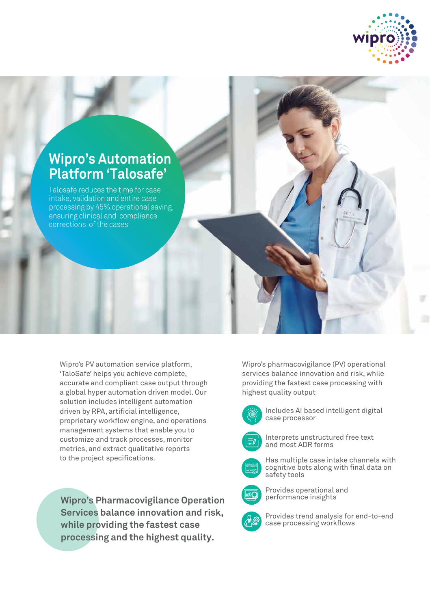



Talosafe reduces the time for case intake, validation and entire case processing by 45% operational saving, ensuring clinical and compliance corrections of the cases

Wipro's PV automation service platform, 'TaloSafe' helps you achieve complete, accurate and compliant case output through a global hyper automation driven model. Our solution includes intelligent automation driven by RPA, artificial intelligence, proprietary workflow engine, and operations management systems that enable you to customize and track processes, monitor metrics, and extract qualitative reports to the project specifications.

**Wipro's Pharmacovigilance Operation Services balance innovation and risk, while providing the fastest case processing and the highest quality.**

Wipro's pharmacovigilance (PV) operational services balance innovation and risk, while providing the fastest case processing with highest quality output



Includes AI based intelligent digital case processor



Interprets unstructured free text and most ADR forms



Has multiple case intake channels with cognitive bots along with final data on safety tools



Provides operational and performance insights



Provides trend analysis for end-to-end case processing workflows